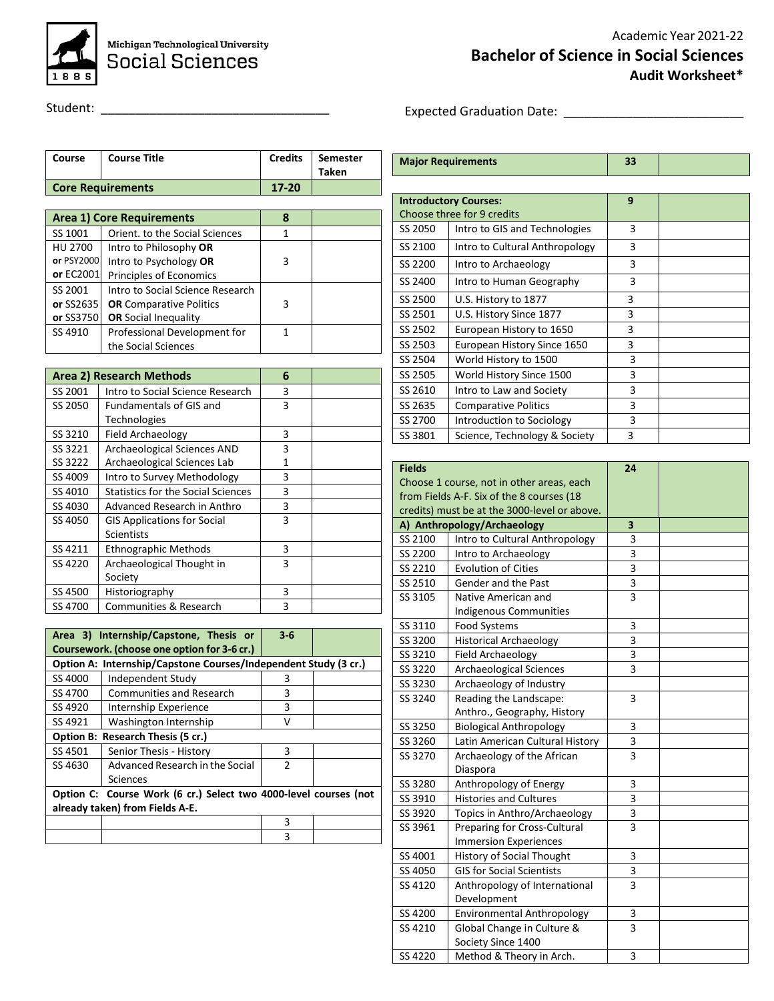

Michigan Technological University **Social Sciences** 

## Academic Year 2021-22 **Bachelor of Science in Social Sciences Audit Worksheet\***

Student: \_\_\_\_\_\_\_\_\_\_\_\_\_\_\_\_\_\_\_\_\_\_\_\_\_\_\_\_\_\_\_\_\_

Expected Graduation Date: \_\_\_\_\_\_\_\_\_\_\_\_\_\_\_\_\_\_\_\_\_\_\_\_\_\_

**Major Requirements 33**

|            | <b>Core Requirements</b>         | $17 - 20$ |  |
|------------|----------------------------------|-----------|--|
|            |                                  |           |  |
|            | <b>Area 1) Core Requirements</b> | 8         |  |
| SS 1001    | Orient, to the Social Sciences   | 1         |  |
| HU 2700    | Intro to Philosophy OR           |           |  |
| or PSY2000 | Intro to Psychology OR           | 3         |  |
| or EC2001  | Principles of Economics          |           |  |
| SS 2001    | Intro to Social Science Research |           |  |
| or SS2635  | <b>OR</b> Comparative Politics   | 3         |  |
| or SS3750  | <b>OR</b> Social Inequality      |           |  |
| SS 4910    | Professional Development for     | 1         |  |
|            | the Social Sciences              |           |  |

**Course Course Title Credits Semester** 

**Taken**

|         | Area 2) Research Methods                  | 6 |  |
|---------|-------------------------------------------|---|--|
| SS 2001 | Intro to Social Science Research          | 3 |  |
| SS 2050 | <b>Fundamentals of GIS and</b>            | 3 |  |
|         | Technologies                              |   |  |
| SS 3210 | <b>Field Archaeology</b>                  | 3 |  |
| SS 3221 | Archaeological Sciences AND               | 3 |  |
| SS 3222 | Archaeological Sciences Lab               | 1 |  |
| SS 4009 | Intro to Survey Methodology               | 3 |  |
| SS 4010 | <b>Statistics for the Social Sciences</b> | 3 |  |
| SS 4030 | Advanced Research in Anthro               | 3 |  |
| SS 4050 | <b>GIS Applications for Social</b>        | 3 |  |
|         | <b>Scientists</b>                         |   |  |
| SS 4211 | <b>Ethnographic Methods</b>               | 3 |  |
| SS 4220 | Archaeological Thought in                 | 3 |  |
|         | Society                                   |   |  |
| SS 4500 | Historiography                            | 3 |  |
| SS 4700 | Communities & Research                    | 3 |  |

|                                 | Area 3) Internship/Capstone, Thesis or<br>Coursework. (choose one option for 3-6 cr.) | $3 - 6$        |  |
|---------------------------------|---------------------------------------------------------------------------------------|----------------|--|
|                                 | Option A: Internship/Capstone Courses/Independent Study (3 cr.)                       |                |  |
| SS 4000                         | Independent Study                                                                     | З              |  |
| SS 4700                         | <b>Communities and Research</b>                                                       | 3              |  |
| SS 4920                         | Internship Experience                                                                 | 3              |  |
| SS 4921                         | Washington Internship                                                                 | v              |  |
|                                 | Option B: Research Thesis (5 cr.)                                                     |                |  |
| SS 4501                         | Senior Thesis - History                                                               | 3              |  |
| SS 4630                         | Advanced Research in the Social                                                       | $\mathfrak{p}$ |  |
|                                 | Sciences                                                                              |                |  |
|                                 | Option C: Course Work (6 cr.) Select two 4000-level courses (not                      |                |  |
| already taken) from Fields A-E. |                                                                                       |                |  |
|                                 |                                                                                       | ς              |  |
|                                 |                                                                                       | ς              |  |

|         | <b>Introductory Courses:</b><br>Choose three for 9 credits | 9 |  |
|---------|------------------------------------------------------------|---|--|
| SS 2050 | Intro to GIS and Technologies                              | 3 |  |
| SS 2100 | Intro to Cultural Anthropology                             | 3 |  |
| SS 2200 | Intro to Archaeology                                       | 3 |  |
| SS 2400 | Intro to Human Geography                                   | 3 |  |
| SS 2500 | U.S. History to 1877                                       | 3 |  |
| SS 2501 | U.S. History Since 1877                                    | 3 |  |
| SS 2502 | European History to 1650                                   | 3 |  |
| SS 2503 | European History Since 1650                                | 3 |  |
| SS 2504 | World History to 1500                                      | 3 |  |
| SS 2505 | World History Since 1500                                   | 3 |  |
| SS 2610 | Intro to Law and Society                                   | 3 |  |
| SS 2635 | <b>Comparative Politics</b>                                | 3 |  |
| SS 2700 | Introduction to Sociology                                  | 3 |  |
| SS 3801 | Science, Technology & Society                              | 3 |  |

| <b>Fields</b>                             |                                              | 24                      |  |
|-------------------------------------------|----------------------------------------------|-------------------------|--|
| Choose 1 course, not in other areas, each |                                              |                         |  |
|                                           | from Fields A-F. Six of the 8 courses (18    |                         |  |
|                                           | credits) must be at the 3000-level or above. |                         |  |
|                                           | A) Anthropology/Archaeology                  | 3                       |  |
| SS 2100                                   | Intro to Cultural Anthropology               | 3                       |  |
| SS 2200                                   | Intro to Archaeology                         | 3                       |  |
| SS 2210                                   | <b>Evolution of Cities</b>                   | 3                       |  |
| SS 2510                                   | Gender and the Past                          | 3                       |  |
| SS 3105                                   | Native American and                          | 3                       |  |
|                                           | <b>Indigenous Communities</b>                |                         |  |
| SS 3110                                   | <b>Food Systems</b>                          | 3                       |  |
| SS 3200                                   | <b>Historical Archaeology</b>                | $\overline{\mathbf{3}}$ |  |
| SS 3210                                   | Field Archaeology                            | 3                       |  |
| SS 3220                                   | <b>Archaeological Sciences</b>               | 3                       |  |
| SS 3230                                   | Archaeology of Industry                      |                         |  |
| SS 3240                                   | Reading the Landscape:                       | 3                       |  |
|                                           | Anthro., Geography, History                  |                         |  |
| SS 3250                                   | <b>Biological Anthropology</b>               | 3                       |  |
| SS 3260                                   | Latin American Cultural History              | 3                       |  |
| SS 3270                                   | Archaeology of the African                   | 3                       |  |
|                                           | Diaspora                                     |                         |  |
| SS 3280                                   | Anthropology of Energy                       | 3                       |  |
| SS 3910                                   | <b>Histories and Cultures</b>                | 3                       |  |
| SS 3920                                   | Topics in Anthro/Archaeology                 | 3                       |  |
| SS 3961                                   | Preparing for Cross-Cultural                 | 3                       |  |
|                                           | <b>Immersion Experiences</b>                 |                         |  |
| SS 4001                                   | <b>History of Social Thought</b>             | 3                       |  |
| SS 4050                                   | <b>GIS for Social Scientists</b>             | 3                       |  |
| SS 4120                                   | Anthropology of International                | 3                       |  |
|                                           | Development                                  |                         |  |
| SS 4200                                   | Environmental Anthropology                   | 3                       |  |
| SS 4210                                   | Global Change in Culture &                   | 3                       |  |
|                                           | Society Since 1400                           |                         |  |
| SS 4220                                   | Method & Theory in Arch.                     | 3                       |  |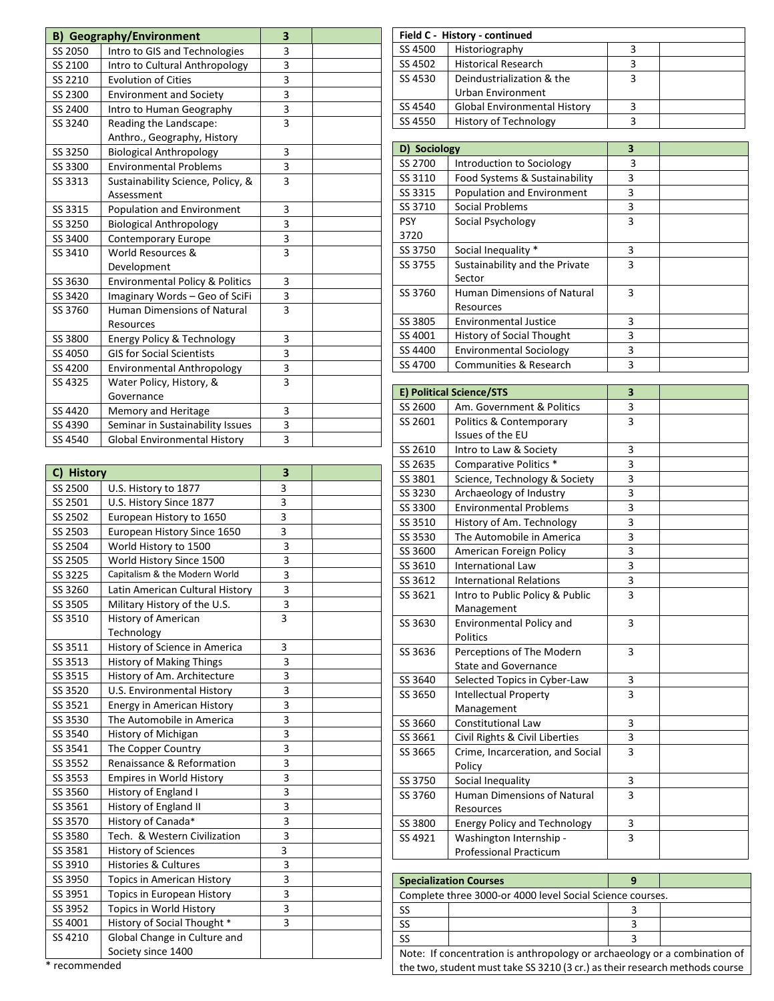|         | <b>B) Geography/Environment</b>            | 3                       |  |
|---------|--------------------------------------------|-------------------------|--|
| SS 2050 | Intro to GIS and Technologies              | 3                       |  |
| SS 2100 | Intro to Cultural Anthropology             | 3                       |  |
| SS 2210 | <b>Evolution of Cities</b>                 | 3                       |  |
| SS 2300 | <b>Environment and Society</b>             | 3                       |  |
| SS 2400 | Intro to Human Geography                   | 3                       |  |
| SS 3240 | Reading the Landscape:                     | 3                       |  |
|         | Anthro., Geography, History                |                         |  |
| SS 3250 | <b>Biological Anthropology</b>             | 3                       |  |
| SS 3300 | <b>Environmental Problems</b>              | 3                       |  |
| SS 3313 | Sustainability Science, Policy, &          | 3                       |  |
|         | Assessment                                 |                         |  |
| SS 3315 | Population and Environment                 | 3                       |  |
| SS 3250 | <b>Biological Anthropology</b>             | 3                       |  |
| SS 3400 | Contemporary Europe                        | $\overline{\mathbf{3}}$ |  |
| SS 3410 | World Resources &                          | $\overline{3}$          |  |
|         | Development                                |                         |  |
| SS 3630 | <b>Environmental Policy &amp; Politics</b> | 3                       |  |
| SS 3420 | Imaginary Words - Geo of SciFi             | 3                       |  |
| SS 3760 | <b>Human Dimensions of Natural</b>         | $\overline{3}$          |  |
|         | Resources                                  |                         |  |
| SS 3800 | Energy Policy & Technology                 | 3                       |  |
| SS 4050 | <b>GIS for Social Scientists</b>           | 3                       |  |
| SS 4200 | <b>Environmental Anthropology</b>          | 3                       |  |
| SS 4325 | Water Policy, History, &                   | $\overline{3}$          |  |
|         | Governance                                 |                         |  |
| SS 4420 | Memory and Heritage                        | 3                       |  |
| SS 4390 | Seminar in Sustainability Issues           | 3                       |  |
| SS 4540 | <b>Global Environmental History</b>        | 3                       |  |

| C) History |                                   | 3                       |  |
|------------|-----------------------------------|-------------------------|--|
| SS 2500    | U.S. History to 1877              | 3                       |  |
| SS 2501    | U.S. History Since 1877           | 3                       |  |
| SS 2502    | European History to 1650          | $\overline{\mathbf{3}}$ |  |
| SS 2503    | European History Since 1650       | 3                       |  |
| SS 2504    | World History to 1500             | 3                       |  |
| SS 2505    | World History Since 1500          | 3                       |  |
| SS 3225    | Capitalism & the Modern World     | 3                       |  |
| SS 3260    | Latin American Cultural History   | 3                       |  |
| SS 3505    | Military History of the U.S.      | $\overline{3}$          |  |
| SS 3510    | History of American               | 3                       |  |
|            | Technology                        |                         |  |
| SS 3511    | History of Science in America     | 3                       |  |
| SS 3513    | History of Making Things          | 3                       |  |
| SS 3515    | History of Am. Architecture       | 3                       |  |
| SS 3520    | U.S. Environmental History        | $\overline{3}$          |  |
| SS 3521    | Energy in American History        | 3                       |  |
| SS 3530    | The Automobile in America         | 3                       |  |
| SS 3540    | History of Michigan               | 3                       |  |
| SS 3541    | The Copper Country                | 3                       |  |
| SS 3552    | Renaissance & Reformation         | $\overline{\mathbf{3}}$ |  |
| SS 3553    | <b>Empires in World History</b>   | 3                       |  |
| SS 3560    | History of England I              | 3                       |  |
| SS 3561    | History of England II             | 3                       |  |
| SS 3570    | History of Canada*                | 3                       |  |
| SS 3580    | Tech. & Western Civilization      | 3                       |  |
| SS 3581    | <b>History of Sciences</b>        | $\overline{\mathbf{3}}$ |  |
| SS 3910    | <b>Histories &amp; Cultures</b>   | 3                       |  |
| SS 3950    | <b>Topics in American History</b> | $\overline{\mathbf{3}}$ |  |
| SS 3951    | Topics in European History        | 3                       |  |
| SS 3952    | Topics in World History           | 3                       |  |
| SS 4001    | History of Social Thought *       | 3                       |  |
| SS 4210    | Global Change in Culture and      |                         |  |
|            | Society since 1400                |                         |  |

|         | Field C - History - continued       |  |
|---------|-------------------------------------|--|
| SS 4500 | Historiography                      |  |
| SS 4502 | <b>Historical Research</b>          |  |
| SS 4530 | Deindustrialization & the           |  |
|         | <b>Urban Environment</b>            |  |
| SS 4540 | <b>Global Environmental History</b> |  |
| SS 4550 | <b>History of Technology</b>        |  |

| D) Sociology |                                    | 3 |  |
|--------------|------------------------------------|---|--|
| SS 2700      | Introduction to Sociology          | 3 |  |
| SS 3110      | Food Systems & Sustainability      | 3 |  |
| SS 3315      | Population and Environment         | 3 |  |
| SS 3710      | Social Problems                    | 3 |  |
| <b>PSY</b>   | Social Psychology                  | 3 |  |
| 3720         |                                    |   |  |
| SS 3750      | Social Inequality *                | 3 |  |
| SS 3755      | Sustainability and the Private     | 3 |  |
|              | Sector                             |   |  |
| SS 3760      | <b>Human Dimensions of Natural</b> | 3 |  |
|              | Resources                          |   |  |
| SS 3805      | <b>Environmental Justice</b>       | 3 |  |
| SS 4001      | <b>History of Social Thought</b>   | 3 |  |
| SS 4400      | <b>Environmental Sociology</b>     | 3 |  |
| SS 4700      | Communities & Research             | 3 |  |

|         | E) Political Science/STS            | 3              |  |
|---------|-------------------------------------|----------------|--|
| SS 2600 | Am. Government & Politics           | 3              |  |
| SS 2601 | Politics & Contemporary             | 3              |  |
|         | Issues of the EU                    |                |  |
| SS 2610 | Intro to Law & Society              | 3              |  |
| SS 2635 | Comparative Politics *              | 3              |  |
| SS 3801 | Science, Technology & Society       | 3              |  |
| SS 3230 | Archaeology of Industry             | 3              |  |
| SS 3300 | <b>Environmental Problems</b>       | 3              |  |
| SS 3510 | History of Am. Technology           | 3              |  |
| SS 3530 | The Automobile in America           | 3              |  |
| SS 3600 | American Foreign Policy             | 3              |  |
| SS 3610 | <b>International Law</b>            | $\overline{3}$ |  |
| SS 3612 | <b>International Relations</b>      | 3              |  |
| SS 3621 | Intro to Public Policy & Public     | 3              |  |
|         | Management                          |                |  |
| SS 3630 | <b>Environmental Policy and</b>     | 3              |  |
|         | <b>Politics</b>                     |                |  |
| SS 3636 | Perceptions of The Modern           | 3              |  |
|         | <b>State and Governance</b>         |                |  |
| SS 3640 | Selected Topics in Cyber-Law        | 3              |  |
| SS 3650 | <b>Intellectual Property</b>        | 3              |  |
|         | Management                          |                |  |
| SS 3660 | <b>Constitutional Law</b>           | 3              |  |
| SS 3661 | Civil Rights & Civil Liberties      | 3              |  |
| SS 3665 | Crime, Incarceration, and Social    | 3              |  |
|         | Policy                              |                |  |
| SS 3750 | Social Inequality                   | 3              |  |
| SS 3760 | <b>Human Dimensions of Natural</b>  | 3              |  |
|         | Resources                           |                |  |
| SS 3800 | <b>Energy Policy and Technology</b> | 3              |  |
| SS 4921 | Washington Internship -             | 3              |  |
|         | <b>Professional Practicum</b>       |                |  |

| <b>Specialization Courses</b>                                             |                                                                             |  |  |
|---------------------------------------------------------------------------|-----------------------------------------------------------------------------|--|--|
| Complete three 3000-or 4000 level Social Science courses.                 |                                                                             |  |  |
| SS                                                                        |                                                                             |  |  |
| SS                                                                        |                                                                             |  |  |
| SS                                                                        |                                                                             |  |  |
| Note: If concentration is anthropology or archaeology or a combination of |                                                                             |  |  |
|                                                                           | the two, student must take SS 3210 (3 cr.) as their research methods course |  |  |

\* recommended